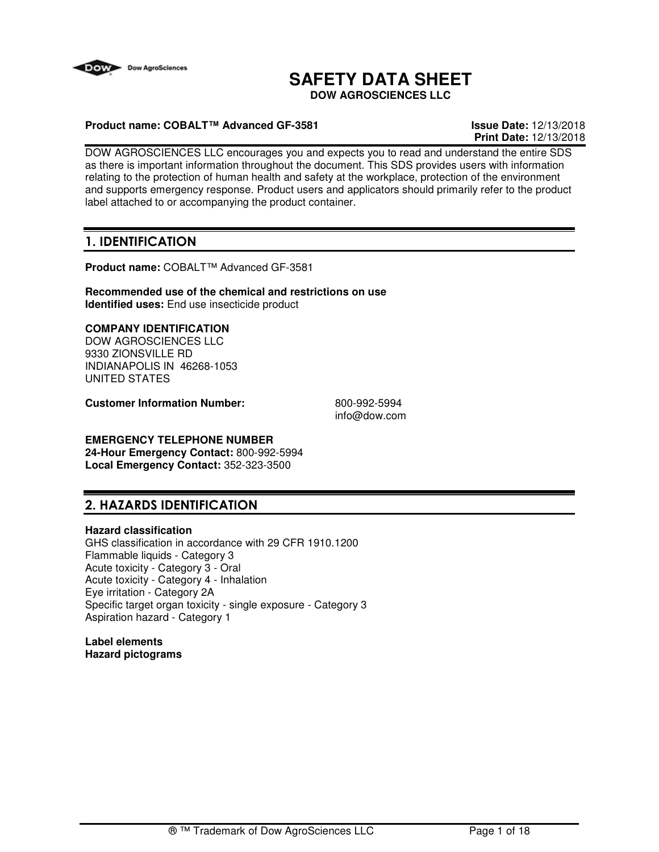

# **SAFETY DATA SHEET**

**DOW AGROSCIENCES LLC**

### **Product name: COBALT™ Advanced GF-3581 Issue Date:** 12/13/2018

**Print Date:** 12/13/2018

DOW AGROSCIENCES LLC encourages you and expects you to read and understand the entire SDS as there is important information throughout the document. This SDS provides users with information relating to the protection of human health and safety at the workplace, protection of the environment and supports emergency response. Product users and applicators should primarily refer to the product label attached to or accompanying the product container.

## **1. IDENTIFICATION**

**Product name:** COBALT™ Advanced GF-3581

**Recommended use of the chemical and restrictions on use Identified uses:** End use insecticide product

### **COMPANY IDENTIFICATION**

DOW AGROSCIENCES LLC 9330 ZIONSVILLE RD INDIANAPOLIS IN 46268-1053 UNITED STATES

**Customer Information Number:** 800-992-5994

info@dow.com

### **EMERGENCY TELEPHONE NUMBER**

**24-Hour Emergency Contact:** 800-992-5994 **Local Emergency Contact:** 352-323-3500

## **2. HAZARDS IDENTIFICATION**

#### **Hazard classification**

GHS classification in accordance with 29 CFR 1910.1200 Flammable liquids - Category 3 Acute toxicity - Category 3 - Oral Acute toxicity - Category 4 - Inhalation Eye irritation - Category 2A Specific target organ toxicity - single exposure - Category 3 Aspiration hazard - Category 1

**Label elements Hazard pictograms**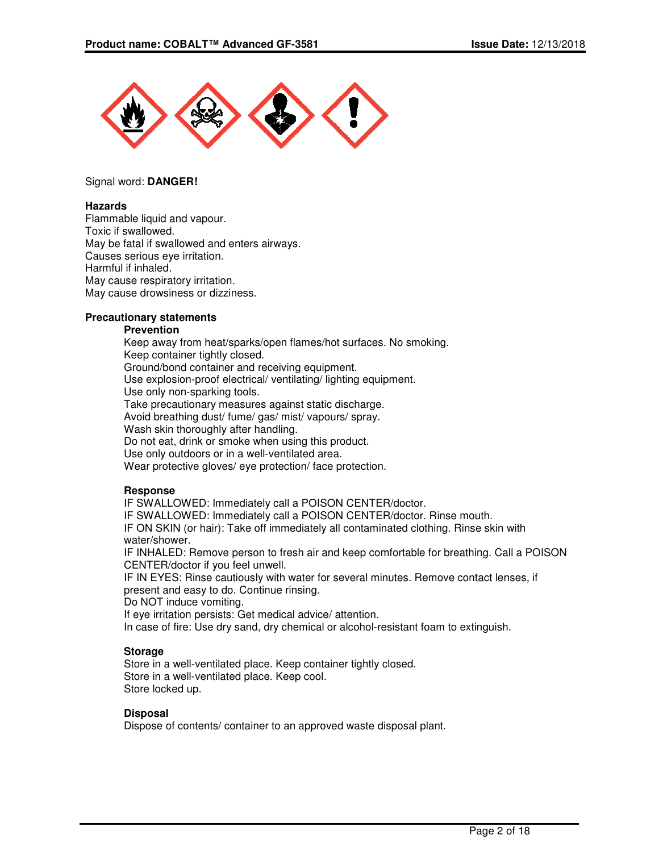

#### Signal word: **DANGER!**

#### **Hazards**

Flammable liquid and vapour. Toxic if swallowed. May be fatal if swallowed and enters airways. Causes serious eye irritation. Harmful if inhaled. May cause respiratory irritation. May cause drowsiness or dizziness.

#### **Precautionary statements**

#### **Prevention**

Keep away from heat/sparks/open flames/hot surfaces. No smoking. Keep container tightly closed. Ground/bond container and receiving equipment. Use explosion-proof electrical/ ventilating/ lighting equipment. Use only non-sparking tools. Take precautionary measures against static discharge. Avoid breathing dust/ fume/ gas/ mist/ vapours/ spray. Wash skin thoroughly after handling. Do not eat, drink or smoke when using this product. Use only outdoors or in a well-ventilated area. Wear protective gloves/ eye protection/ face protection.

#### **Response**

IF SWALLOWED: Immediately call a POISON CENTER/doctor.

IF SWALLOWED: Immediately call a POISON CENTER/doctor. Rinse mouth.

IF ON SKIN (or hair): Take off immediately all contaminated clothing. Rinse skin with water/shower.

IF INHALED: Remove person to fresh air and keep comfortable for breathing. Call a POISON CENTER/doctor if you feel unwell.

IF IN EYES: Rinse cautiously with water for several minutes. Remove contact lenses, if present and easy to do. Continue rinsing.

Do NOT induce vomiting.

If eye irritation persists: Get medical advice/ attention.

In case of fire: Use dry sand, dry chemical or alcohol-resistant foam to extinguish.

#### **Storage**

Store in a well-ventilated place. Keep container tightly closed. Store in a well-ventilated place. Keep cool. Store locked up.

#### **Disposal**

Dispose of contents/ container to an approved waste disposal plant.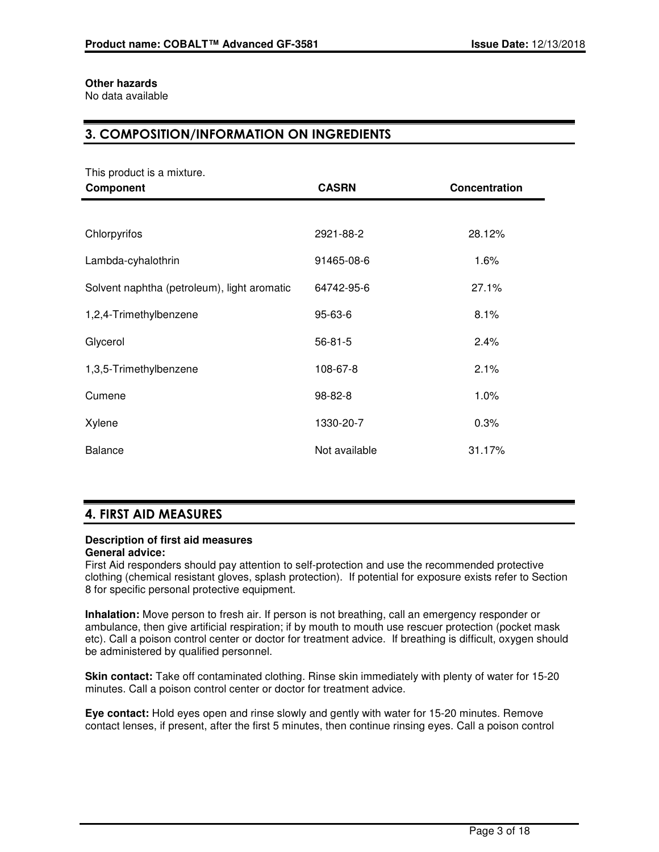### **Other hazards**

No data available

## **3. COMPOSITION/INFORMATION ON INGREDIENTS**

This product is a mixture.

| Component                                   | <b>CASRN</b>  | Concentration |
|---------------------------------------------|---------------|---------------|
|                                             |               |               |
| Chlorpyrifos                                | 2921-88-2     | 28.12%        |
| Lambda-cyhalothrin                          | 91465-08-6    | 1.6%          |
| Solvent naphtha (petroleum), light aromatic | 64742-95-6    | 27.1%         |
| 1,2,4-Trimethylbenzene                      | 95-63-6       | 8.1%          |
| Glycerol                                    | $56 - 81 - 5$ | 2.4%          |
| 1,3,5-Trimethylbenzene                      | 108-67-8      | 2.1%          |
| Cumene                                      | 98-82-8       | 1.0%          |
| Xylene                                      | 1330-20-7     | 0.3%          |
| <b>Balance</b>                              | Not available | 31.17%        |

## **4. FIRST AID MEASURES**

### **Description of first aid measures**

### **General advice:**

First Aid responders should pay attention to self-protection and use the recommended protective clothing (chemical resistant gloves, splash protection). If potential for exposure exists refer to Section 8 for specific personal protective equipment.

**Inhalation:** Move person to fresh air. If person is not breathing, call an emergency responder or ambulance, then give artificial respiration; if by mouth to mouth use rescuer protection (pocket mask etc). Call a poison control center or doctor for treatment advice. If breathing is difficult, oxygen should be administered by qualified personnel.

**Skin contact:** Take off contaminated clothing. Rinse skin immediately with plenty of water for 15-20 minutes. Call a poison control center or doctor for treatment advice.

**Eye contact:** Hold eyes open and rinse slowly and gently with water for 15-20 minutes. Remove contact lenses, if present, after the first 5 minutes, then continue rinsing eyes. Call a poison control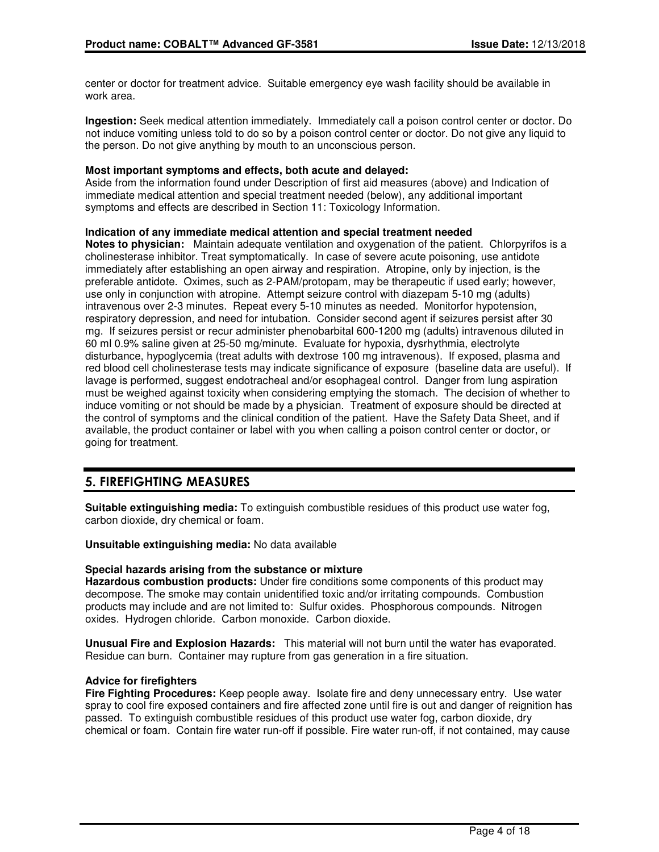center or doctor for treatment advice. Suitable emergency eye wash facility should be available in work area.

**Ingestion:** Seek medical attention immediately. Immediately call a poison control center or doctor. Do not induce vomiting unless told to do so by a poison control center or doctor. Do not give any liquid to the person. Do not give anything by mouth to an unconscious person.

#### **Most important symptoms and effects, both acute and delayed:**

Aside from the information found under Description of first aid measures (above) and Indication of immediate medical attention and special treatment needed (below), any additional important symptoms and effects are described in Section 11: Toxicology Information.

#### **Indication of any immediate medical attention and special treatment needed**

**Notes to physician:** Maintain adequate ventilation and oxygenation of the patient. Chlorpyrifos is a cholinesterase inhibitor. Treat symptomatically. In case of severe acute poisoning, use antidote immediately after establishing an open airway and respiration. Atropine, only by injection, is the preferable antidote. Oximes, such as 2-PAM/protopam, may be therapeutic if used early; however, use only in conjunction with atropine. Attempt seizure control with diazepam 5-10 mg (adults) intravenous over 2-3 minutes. Repeat every 5-10 minutes as needed. Monitorfor hypotension, respiratory depression, and need for intubation. Consider second agent if seizures persist after 30 mg. If seizures persist or recur administer phenobarbital 600-1200 mg (adults) intravenous diluted in 60 ml 0.9% saline given at 25-50 mg/minute. Evaluate for hypoxia, dysrhythmia, electrolyte disturbance, hypoglycemia (treat adults with dextrose 100 mg intravenous). If exposed, plasma and red blood cell cholinesterase tests may indicate significance of exposure (baseline data are useful). If lavage is performed, suggest endotracheal and/or esophageal control. Danger from lung aspiration must be weighed against toxicity when considering emptying the stomach. The decision of whether to induce vomiting or not should be made by a physician. Treatment of exposure should be directed at the control of symptoms and the clinical condition of the patient. Have the Safety Data Sheet, and if available, the product container or label with you when calling a poison control center or doctor, or going for treatment.

## **5. FIREFIGHTING MEASURES**

**Suitable extinguishing media:** To extinguish combustible residues of this product use water fog, carbon dioxide, dry chemical or foam.

**Unsuitable extinguishing media:** No data available

#### **Special hazards arising from the substance or mixture**

**Hazardous combustion products:** Under fire conditions some components of this product may decompose. The smoke may contain unidentified toxic and/or irritating compounds. Combustion products may include and are not limited to: Sulfur oxides. Phosphorous compounds. Nitrogen oxides. Hydrogen chloride. Carbon monoxide. Carbon dioxide.

**Unusual Fire and Explosion Hazards:** This material will not burn until the water has evaporated. Residue can burn. Container may rupture from gas generation in a fire situation.

#### **Advice for firefighters**

**Fire Fighting Procedures:** Keep people away. Isolate fire and deny unnecessary entry. Use water spray to cool fire exposed containers and fire affected zone until fire is out and danger of reignition has passed. To extinguish combustible residues of this product use water fog, carbon dioxide, dry chemical or foam. Contain fire water run-off if possible. Fire water run-off, if not contained, may cause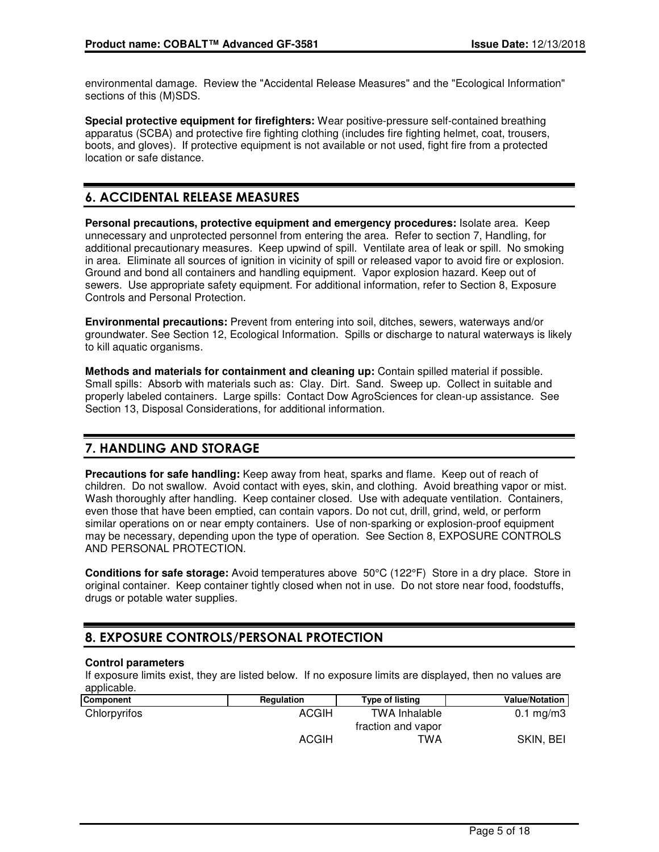environmental damage. Review the "Accidental Release Measures" and the "Ecological Information" sections of this (M)SDS.

**Special protective equipment for firefighters:** Wear positive-pressure self-contained breathing apparatus (SCBA) and protective fire fighting clothing (includes fire fighting helmet, coat, trousers, boots, and gloves). If protective equipment is not available or not used, fight fire from a protected location or safe distance.

## **6. ACCIDENTAL RELEASE MEASURES**

**Personal precautions, protective equipment and emergency procedures:** Isolate area. Keep unnecessary and unprotected personnel from entering the area. Refer to section 7, Handling, for additional precautionary measures. Keep upwind of spill. Ventilate area of leak or spill. No smoking in area. Eliminate all sources of ignition in vicinity of spill or released vapor to avoid fire or explosion. Ground and bond all containers and handling equipment. Vapor explosion hazard. Keep out of sewers. Use appropriate safety equipment. For additional information, refer to Section 8, Exposure Controls and Personal Protection.

**Environmental precautions:** Prevent from entering into soil, ditches, sewers, waterways and/or groundwater. See Section 12, Ecological Information. Spills or discharge to natural waterways is likely to kill aquatic organisms.

**Methods and materials for containment and cleaning up:** Contain spilled material if possible. Small spills: Absorb with materials such as: Clay. Dirt. Sand. Sweep up. Collect in suitable and properly labeled containers. Large spills: Contact Dow AgroSciences for clean-up assistance. See Section 13, Disposal Considerations, for additional information.

## **7. HANDLING AND STORAGE**

**Precautions for safe handling:** Keep away from heat, sparks and flame. Keep out of reach of children. Do not swallow. Avoid contact with eyes, skin, and clothing. Avoid breathing vapor or mist. Wash thoroughly after handling. Keep container closed. Use with adequate ventilation. Containers, even those that have been emptied, can contain vapors. Do not cut, drill, grind, weld, or perform similar operations on or near empty containers. Use of non-sparking or explosion-proof equipment may be necessary, depending upon the type of operation. See Section 8, EXPOSURE CONTROLS AND PERSONAL PROTECTION.

**Conditions for safe storage:** Avoid temperatures above 50°C (122°F) Store in a dry place. Store in original container. Keep container tightly closed when not in use. Do not store near food, foodstuffs, drugs or potable water supplies.

## **8. EXPOSURE CONTROLS/PERSONAL PROTECTION**

### **Control parameters**

If exposure limits exist, they are listed below. If no exposure limits are displayed, then no values are applicable.

| Component    | Regulation   | <b>Type of listing</b> | Value/Notation       |
|--------------|--------------|------------------------|----------------------|
| Chlorpyrifos | ACGIH        | <b>TWA Inhalable</b>   | $0.1 \text{ mg/m}$ 3 |
|              |              | fraction and vapor     |                      |
|              | <b>ACGIH</b> | TWA                    | SKIN, BEI            |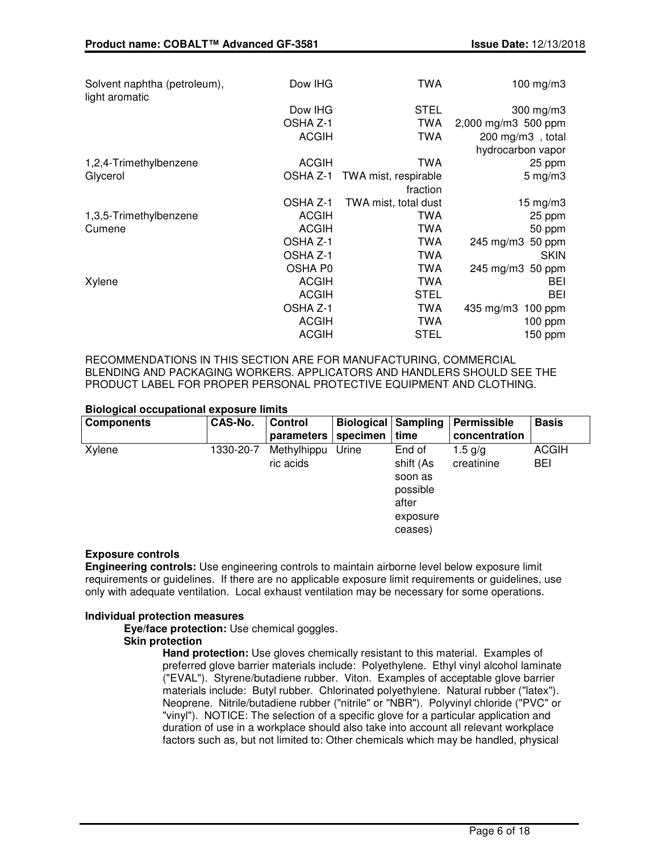| Solvent naphtha (petroleum),<br>light aromatic | Dow IHG      | <b>TWA</b>           | 100 mg/m $3$           |
|------------------------------------------------|--------------|----------------------|------------------------|
|                                                | Dow IHG      | <b>STEL</b>          | 300 mg/m3              |
|                                                | OSHA Z-1     | <b>TWA</b>           | 2,000 mg/m3 500 ppm    |
|                                                | <b>ACGIH</b> | <b>TWA</b>           | 200 mg/m3, total       |
|                                                |              |                      | hydrocarbon vapor      |
| 1,2,4-Trimethylbenzene                         | <b>ACGIH</b> | <b>TWA</b>           | 25 ppm                 |
| Glycerol                                       | OSHA Z-1     | TWA mist, respirable | $5 \text{ mg/m}$ 3     |
|                                                |              | fraction             |                        |
|                                                | OSHA Z-1     | TWA mist, total dust | $15 \text{ mg/m}$ 3    |
| 1,3,5-Trimethylbenzene                         | <b>ACGIH</b> | TWA                  | 25 ppm                 |
| Cumene                                         | <b>ACGIH</b> | TWA                  | 50 ppm                 |
|                                                | OSHA Z-1     | TWA                  | 245 mg/m3<br>50 ppm    |
|                                                | OSHA Z-1     | <b>TWA</b>           | <b>SKIN</b>            |
|                                                | OSHA P0      | <b>TWA</b>           | 245 mg/m3 50 ppm       |
| Xylene                                         | <b>ACGIH</b> | <b>TWA</b>           | BEI                    |
|                                                | <b>ACGIH</b> | <b>STEL</b>          | <b>BEI</b>             |
|                                                | OSHA Z-1     | <b>TWA</b>           | 435 mg/m3<br>$100$ ppm |
|                                                | <b>ACGIH</b> | <b>TWA</b>           | 100 ppm                |
|                                                | <b>ACGIH</b> | <b>STEL</b>          | 150 ppm                |

RECOMMENDATIONS IN THIS SECTION ARE FOR MANUFACTURING, COMMERCIAL BLENDING AND PACKAGING WORKERS. APPLICATORS AND HANDLERS SHOULD SEE THE PRODUCT LABEL FOR PROPER PERSONAL PROTECTIVE EQUIPMENT AND CLOTHING.

#### **Biological occupational exposure limits**

| <b>Components</b> | CAS-No.   | <b>Control</b><br>parameters | <b>Biological Sampling</b><br>specimen | time                                                                       | Permissible<br>concentration | <b>Basis</b>        |
|-------------------|-----------|------------------------------|----------------------------------------|----------------------------------------------------------------------------|------------------------------|---------------------|
| Xylene            | 1330-20-7 | Methylhippu<br>ric acids     | Urine                                  | End of<br>shift (As<br>soon as<br>possible<br>after<br>exposure<br>ceases) | $1.5$ a/a<br>creatinine      | <b>ACGIH</b><br>BEI |

#### **Exposure controls**

**Engineering controls:** Use engineering controls to maintain airborne level below exposure limit requirements or guidelines. If there are no applicable exposure limit requirements or guidelines, use only with adequate ventilation. Local exhaust ventilation may be necessary for some operations.

#### **Individual protection measures**

**Eye/face protection:** Use chemical goggles.

#### **Skin protection**

**Hand protection:** Use gloves chemically resistant to this material. Examples of preferred glove barrier materials include: Polyethylene. Ethyl vinyl alcohol laminate ("EVAL"). Styrene/butadiene rubber. Viton. Examples of acceptable glove barrier materials include: Butyl rubber. Chlorinated polyethylene. Natural rubber ("latex"). Neoprene. Nitrile/butadiene rubber ("nitrile" or "NBR"). Polyvinyl chloride ("PVC" or "vinyl"). NOTICE: The selection of a specific glove for a particular application and duration of use in a workplace should also take into account all relevant workplace factors such as, but not limited to: Other chemicals which may be handled, physical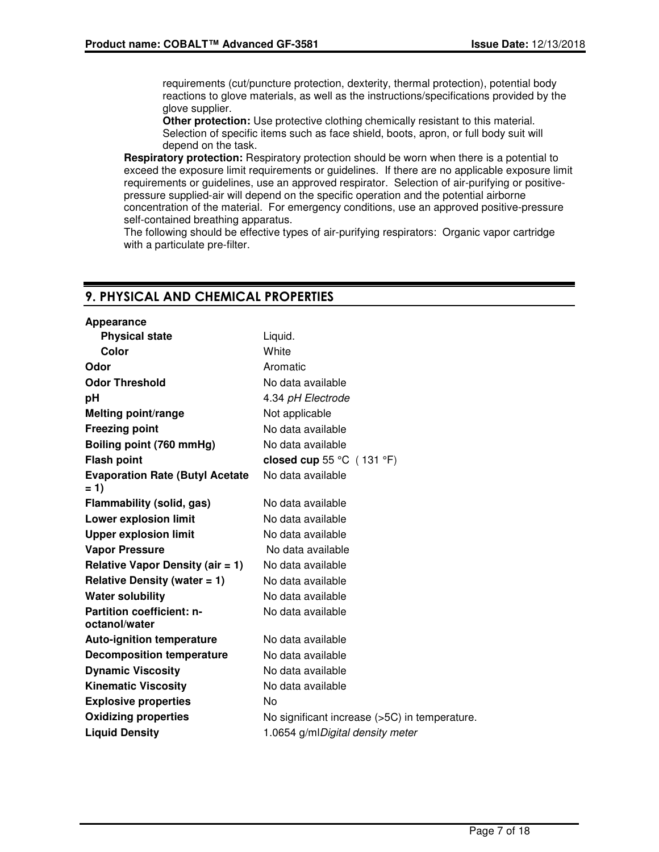requirements (cut/puncture protection, dexterity, thermal protection), potential body reactions to glove materials, as well as the instructions/specifications provided by the glove supplier.

**Other protection:** Use protective clothing chemically resistant to this material. Selection of specific items such as face shield, boots, apron, or full body suit will depend on the task.

**Respiratory protection:** Respiratory protection should be worn when there is a potential to exceed the exposure limit requirements or guidelines. If there are no applicable exposure limit requirements or guidelines, use an approved respirator. Selection of air-purifying or positivepressure supplied-air will depend on the specific operation and the potential airborne concentration of the material. For emergency conditions, use an approved positive-pressure self-contained breathing apparatus.

The following should be effective types of air-purifying respirators: Organic vapor cartridge with a particulate pre-filter.

### **9. PHYSICAL AND CHEMICAL PROPERTIES**

| Liquid.                                       |
|-----------------------------------------------|
| White                                         |
| Aromatic                                      |
| No data available                             |
| 4.34 pH Electrode                             |
| Not applicable                                |
| No data available                             |
| No data available                             |
| closed cup 55 $°C$ (131 $°F$ )                |
| No data available                             |
| No data available                             |
| No data available                             |
| No data available                             |
| No data available                             |
| No data available                             |
| No data available                             |
| No data available                             |
| No data available                             |
| No data available                             |
| No data available                             |
| No data available                             |
| No data available                             |
| No                                            |
| No significant increase (>5C) in temperature. |
| 1.0654 g/mlDigital density meter              |
|                                               |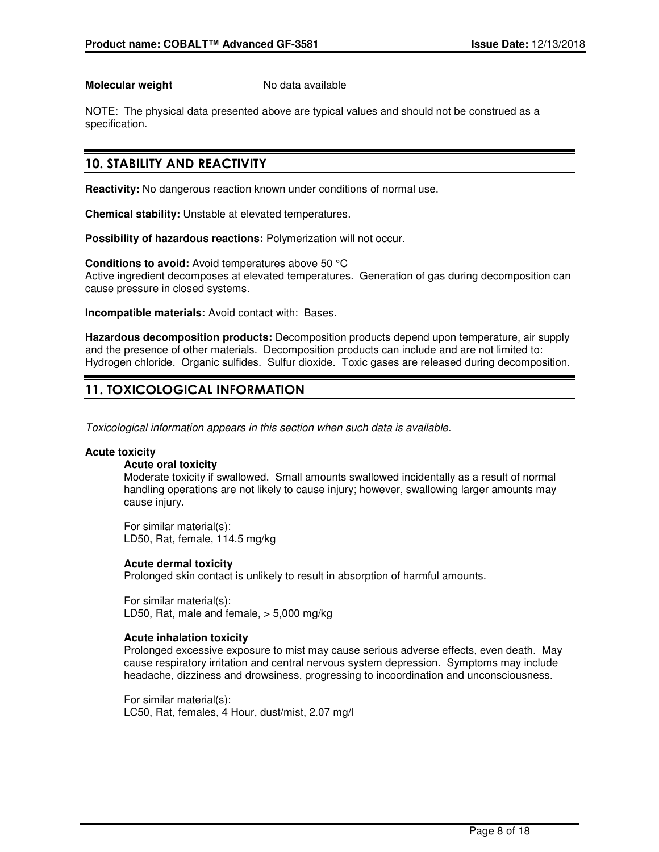#### **Molecular weight** No data available

NOTE: The physical data presented above are typical values and should not be construed as a specification.

## **10. STABILITY AND REACTIVITY**

**Reactivity:** No dangerous reaction known under conditions of normal use.

**Chemical stability:** Unstable at elevated temperatures.

**Possibility of hazardous reactions:** Polymerization will not occur.

**Conditions to avoid:** Avoid temperatures above 50 °C Active ingredient decomposes at elevated temperatures. Generation of gas during decomposition can cause pressure in closed systems.

**Incompatible materials:** Avoid contact with: Bases.

**Hazardous decomposition products:** Decomposition products depend upon temperature, air supply and the presence of other materials. Decomposition products can include and are not limited to: Hydrogen chloride. Organic sulfides. Sulfur dioxide. Toxic gases are released during decomposition.

## **11. TOXICOLOGICAL INFORMATION**

Toxicological information appears in this section when such data is available.

#### **Acute toxicity**

### **Acute oral toxicity**

Moderate toxicity if swallowed. Small amounts swallowed incidentally as a result of normal handling operations are not likely to cause injury; however, swallowing larger amounts may cause injury.

For similar material(s): LD50, Rat, female, 114.5 mg/kg

### **Acute dermal toxicity**

Prolonged skin contact is unlikely to result in absorption of harmful amounts.

For similar material(s): LD50, Rat, male and female, > 5,000 mg/kg

### **Acute inhalation toxicity**

Prolonged excessive exposure to mist may cause serious adverse effects, even death. May cause respiratory irritation and central nervous system depression. Symptoms may include headache, dizziness and drowsiness, progressing to incoordination and unconsciousness.

For similar material(s): LC50, Rat, females, 4 Hour, dust/mist, 2.07 mg/l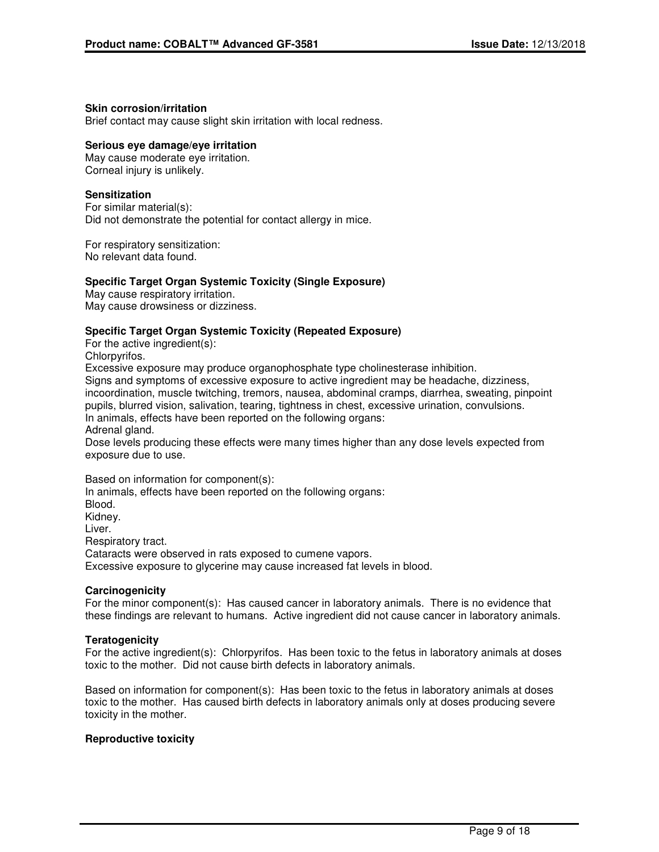#### **Skin corrosion/irritation**

Brief contact may cause slight skin irritation with local redness.

#### **Serious eye damage/eye irritation**

May cause moderate eye irritation. Corneal injury is unlikely.

#### **Sensitization**

For similar material(s): Did not demonstrate the potential for contact allergy in mice.

For respiratory sensitization: No relevant data found.

#### **Specific Target Organ Systemic Toxicity (Single Exposure)**

May cause respiratory irritation. May cause drowsiness or dizziness.

#### **Specific Target Organ Systemic Toxicity (Repeated Exposure)**

For the active ingredient(s): Chlorpyrifos.

Excessive exposure may produce organophosphate type cholinesterase inhibition. Signs and symptoms of excessive exposure to active ingredient may be headache, dizziness,

incoordination, muscle twitching, tremors, nausea, abdominal cramps, diarrhea, sweating, pinpoint pupils, blurred vision, salivation, tearing, tightness in chest, excessive urination, convulsions. In animals, effects have been reported on the following organs:

Adrenal gland.

Dose levels producing these effects were many times higher than any dose levels expected from exposure due to use.

Based on information for component(s):

In animals, effects have been reported on the following organs: Blood. Kidney. Liver. Respiratory tract. Cataracts were observed in rats exposed to cumene vapors. Excessive exposure to glycerine may cause increased fat levels in blood.

#### **Carcinogenicity**

For the minor component(s): Has caused cancer in laboratory animals. There is no evidence that these findings are relevant to humans. Active ingredient did not cause cancer in laboratory animals.

#### **Teratogenicity**

For the active ingredient(s): Chlorpyrifos. Has been toxic to the fetus in laboratory animals at doses toxic to the mother. Did not cause birth defects in laboratory animals.

Based on information for component(s): Has been toxic to the fetus in laboratory animals at doses toxic to the mother. Has caused birth defects in laboratory animals only at doses producing severe toxicity in the mother.

#### **Reproductive toxicity**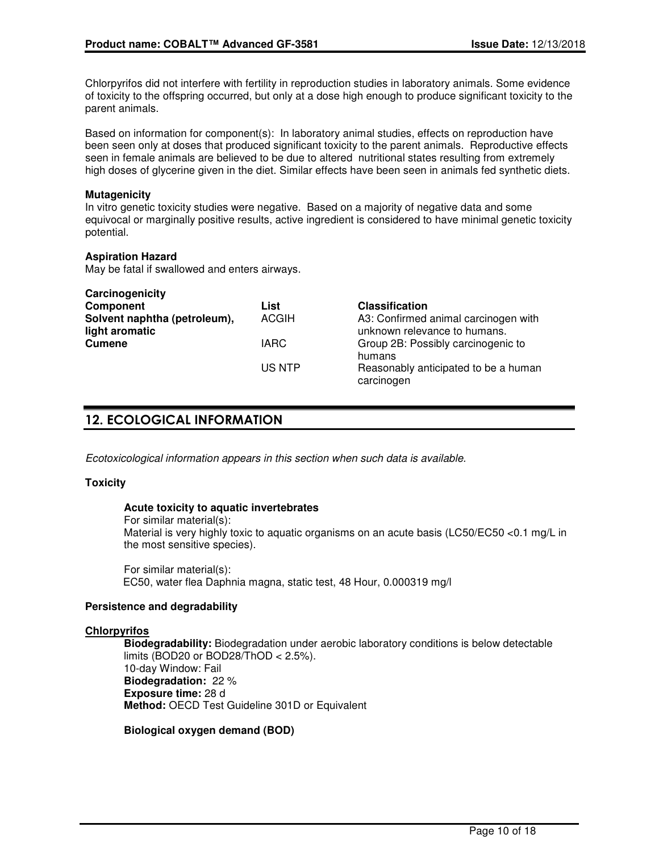Chlorpyrifos did not interfere with fertility in reproduction studies in laboratory animals. Some evidence of toxicity to the offspring occurred, but only at a dose high enough to produce significant toxicity to the parent animals.

Based on information for component(s): In laboratory animal studies, effects on reproduction have been seen only at doses that produced significant toxicity to the parent animals. Reproductive effects seen in female animals are believed to be due to altered nutritional states resulting from extremely high doses of glycerine given in the diet. Similar effects have been seen in animals fed synthetic diets.

#### **Mutagenicity**

In vitro genetic toxicity studies were negative. Based on a majority of negative data and some equivocal or marginally positive results, active ingredient is considered to have minimal genetic toxicity potential.

#### **Aspiration Hazard**

May be fatal if swallowed and enters airways.

| Carcinogenicity              |              |                                                    |
|------------------------------|--------------|----------------------------------------------------|
| <b>Component</b>             | List         | <b>Classification</b>                              |
| Solvent naphtha (petroleum), | <b>ACGIH</b> | A3: Confirmed animal carcinogen with               |
| light aromatic               |              | unknown relevance to humans.                       |
| <b>Cumene</b>                | <b>IARC</b>  | Group 2B: Possibly carcinogenic to<br>humans       |
|                              | US NTP       | Reasonably anticipated to be a human<br>carcinogen |

## **12. ECOLOGICAL INFORMATION**

Ecotoxicological information appears in this section when such data is available.

#### **Toxicity**

#### **Acute toxicity to aquatic invertebrates**

For similar material(s): Material is very highly toxic to aquatic organisms on an acute basis (LC50/EC50 <0.1 mg/L in the most sensitive species).

For similar material(s): EC50, water flea Daphnia magna, static test, 48 Hour, 0.000319 mg/l

#### **Persistence and degradability**

#### **Chlorpyrifos**

**Biodegradability:** Biodegradation under aerobic laboratory conditions is below detectable limits (BOD20 or BOD28/ThOD < 2.5%). 10-day Window: Fail **Biodegradation:** 22 % **Exposure time:** 28 d **Method:** OECD Test Guideline 301D or Equivalent

**Biological oxygen demand (BOD)**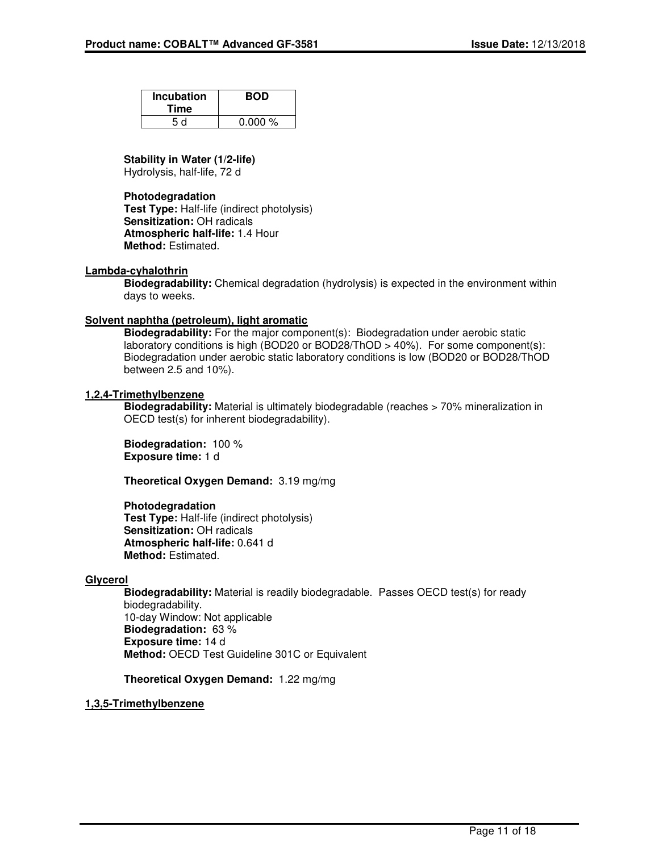| <b>Incubation</b><br>Time | <b>BOD</b> |
|---------------------------|------------|
| 5 d                       | 0.000%     |

**Stability in Water (1/2-life)**

Hydrolysis, half-life, 72 d

### **Photodegradation**

**Test Type:** Half-life (indirect photolysis) **Sensitization:** OH radicals **Atmospheric half-life:** 1.4 Hour **Method:** Estimated.

#### **Lambda-cyhalothrin**

**Biodegradability:** Chemical degradation (hydrolysis) is expected in the environment within days to weeks.

#### **Solvent naphtha (petroleum), light aromatic**

**Biodegradability:** For the major component(s): Biodegradation under aerobic static laboratory conditions is high (BOD20 or BOD28/ThOD > 40%). For some component(s): Biodegradation under aerobic static laboratory conditions is low (BOD20 or BOD28/ThOD between 2.5 and 10%).

### **1,2,4-Trimethylbenzene**

**Biodegradability:** Material is ultimately biodegradable (reaches > 70% mineralization in OECD test(s) for inherent biodegradability).

**Biodegradation:** 100 % **Exposure time:** 1 d

**Theoretical Oxygen Demand:** 3.19 mg/mg

**Photodegradation Test Type:** Half-life (indirect photolysis) **Sensitization:** OH radicals **Atmospheric half-life:** 0.641 d **Method:** Estimated.

#### **Glycerol**

**Biodegradability:** Material is readily biodegradable. Passes OECD test(s) for ready biodegradability. 10-day Window: Not applicable **Biodegradation:** 63 % **Exposure time:** 14 d **Method:** OECD Test Guideline 301C or Equivalent

**Theoretical Oxygen Demand:** 1.22 mg/mg

#### **1,3,5-Trimethylbenzene**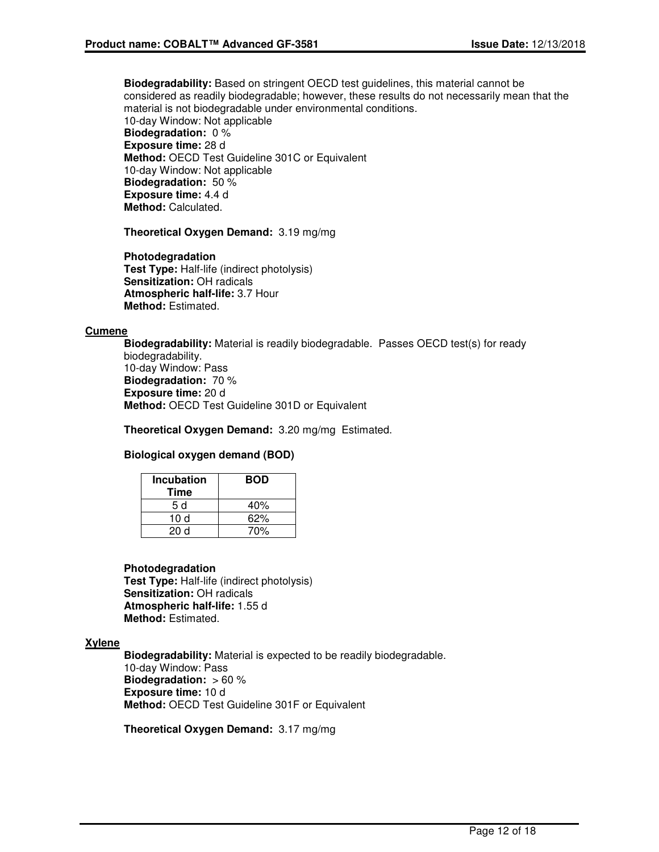**Biodegradability:** Based on stringent OECD test guidelines, this material cannot be considered as readily biodegradable; however, these results do not necessarily mean that the material is not biodegradable under environmental conditions. 10-day Window: Not applicable **Biodegradation:** 0 % **Exposure time:** 28 d **Method:** OECD Test Guideline 301C or Equivalent 10-day Window: Not applicable **Biodegradation:** 50 % **Exposure time:** 4.4 d

**Method:** Calculated.

**Theoretical Oxygen Demand:** 3.19 mg/mg

**Photodegradation Test Type:** Half-life (indirect photolysis) **Sensitization:** OH radicals **Atmospheric half-life:** 3.7 Hour **Method:** Estimated.

#### **Cumene**

**Biodegradability:** Material is readily biodegradable. Passes OECD test(s) for ready biodegradability. 10-day Window: Pass **Biodegradation:** 70 % **Exposure time:** 20 d **Method:** OECD Test Guideline 301D or Equivalent

**Theoretical Oxygen Demand:** 3.20 mg/mg Estimated.

#### **Biological oxygen demand (BOD)**

| <b>Incubation</b><br>Time | <b>BOD</b> |
|---------------------------|------------|
| 5 d                       | 40%        |
| 10 d                      | 62%        |
| 20 d                      | 70%        |

#### **Photodegradation**

**Test Type:** Half-life (indirect photolysis) **Sensitization:** OH radicals **Atmospheric half-life:** 1.55 d **Method:** Estimated.

#### **Xylene**

**Biodegradability:** Material is expected to be readily biodegradable. 10-day Window: Pass **Biodegradation:** > 60 % **Exposure time:** 10 d **Method:** OECD Test Guideline 301F or Equivalent

**Theoretical Oxygen Demand:** 3.17 mg/mg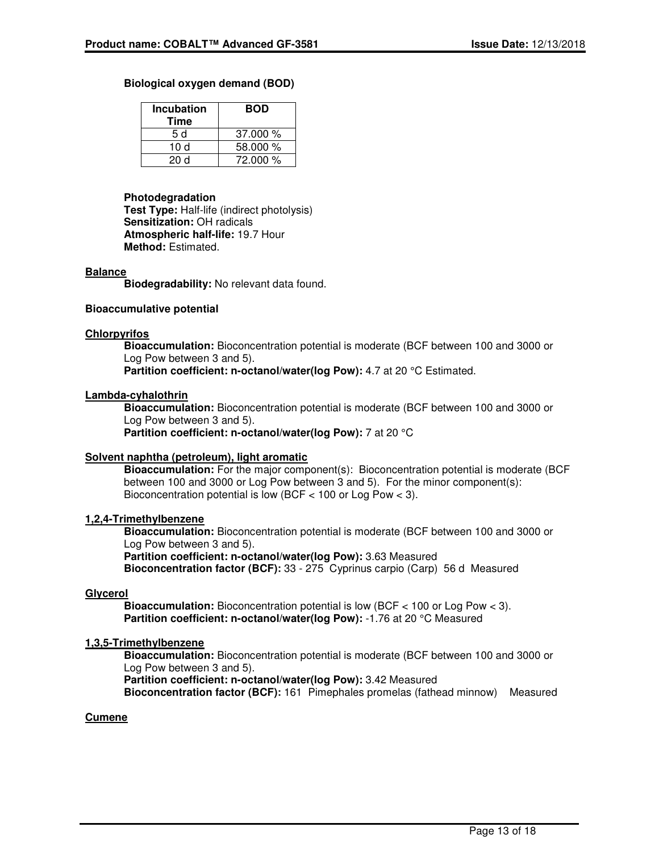#### **Biological oxygen demand (BOD)**

| <b>Incubation</b><br>Time | BOD      |
|---------------------------|----------|
| 5 d                       | 37.000%  |
| 10 d                      | 58,000 % |
| 20d                       | 72.000 % |

#### **Photodegradation**

**Test Type:** Half-life (indirect photolysis) **Sensitization:** OH radicals **Atmospheric half-life:** 19.7 Hour **Method:** Estimated.

#### **Balance**

**Biodegradability:** No relevant data found.

#### **Bioaccumulative potential**

#### **Chlorpyrifos**

**Bioaccumulation:** Bioconcentration potential is moderate (BCF between 100 and 3000 or Log Pow between 3 and 5). **Partition coefficient: n-octanol/water(log Pow): 4.7 at 20 °C Estimated.** 

#### **Lambda-cyhalothrin**

**Bioaccumulation:** Bioconcentration potential is moderate (BCF between 100 and 3000 or Log Pow between 3 and 5).

**Partition coefficient: n-octanol/water(log Pow): 7 at 20 °C** 

#### **Solvent naphtha (petroleum), light aromatic**

**Bioaccumulation:** For the major component(s): Bioconcentration potential is moderate (BCF between 100 and 3000 or Log Pow between 3 and 5). For the minor component(s): Bioconcentration potential is low (BCF < 100 or Log Pow < 3).

#### **1,2,4-Trimethylbenzene**

**Bioaccumulation:** Bioconcentration potential is moderate (BCF between 100 and 3000 or Log Pow between 3 and 5). **Partition coefficient: n-octanol/water(log Pow):** 3.63 Measured

**Bioconcentration factor (BCF):** 33 - 275 Cyprinus carpio (Carp) 56 d Measured

#### **Glycerol**

**Bioaccumulation:** Bioconcentration potential is low (BCF < 100 or Log Pow < 3). **Partition coefficient: n-octanol/water(log Pow): -1.76 at 20 °C Measured** 

#### **1,3,5-Trimethylbenzene**

**Bioaccumulation:** Bioconcentration potential is moderate (BCF between 100 and 3000 or Log Pow between 3 and 5).

**Partition coefficient: n-octanol/water(log Pow):** 3.42 Measured

**Bioconcentration factor (BCF):** 161 Pimephales promelas (fathead minnow) Measured

#### **Cumene**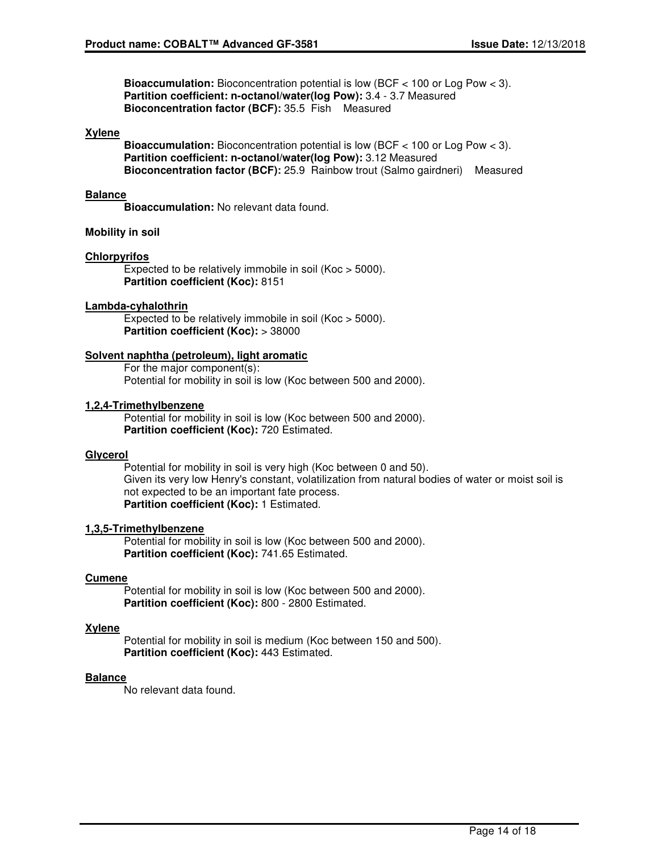**Bioaccumulation:** Bioconcentration potential is low (BCF < 100 or Log Pow < 3). **Partition coefficient: n-octanol/water(log Pow):** 3.4 - 3.7 Measured **Bioconcentration factor (BCF):** 35.5 Fish Measured

#### **Xylene**

**Bioaccumulation:** Bioconcentration potential is low (BCF < 100 or Log Pow < 3). **Partition coefficient: n-octanol/water(log Pow):** 3.12 Measured **Bioconcentration factor (BCF):** 25.9 Rainbow trout (Salmo gairdneri) Measured

#### **Balance**

**Bioaccumulation:** No relevant data found.

#### **Mobility in soil**

#### **Chlorpyrifos**

Expected to be relatively immobile in soil (Koc > 5000). **Partition coefficient (Koc):** 8151

#### **Lambda-cyhalothrin**

Expected to be relatively immobile in soil (Koc > 5000). **Partition coefficient (Koc):** > 38000

#### **Solvent naphtha (petroleum), light aromatic**

For the major component(s): Potential for mobility in soil is low (Koc between 500 and 2000).

#### **1,2,4-Trimethylbenzene**

Potential for mobility in soil is low (Koc between 500 and 2000). **Partition coefficient (Koc):** 720 Estimated.

#### **Glycerol**

Potential for mobility in soil is very high (Koc between 0 and 50). Given its very low Henry's constant, volatilization from natural bodies of water or moist soil is not expected to be an important fate process. **Partition coefficient (Koc):** 1 Estimated.

#### **1,3,5-Trimethylbenzene**

Potential for mobility in soil is low (Koc between 500 and 2000). **Partition coefficient (Koc):** 741.65 Estimated.

#### **Cumene**

Potential for mobility in soil is low (Koc between 500 and 2000). **Partition coefficient (Koc):** 800 - 2800 Estimated.

#### **Xylene**

Potential for mobility in soil is medium (Koc between 150 and 500). **Partition coefficient (Koc):** 443 Estimated.

#### **Balance**

No relevant data found.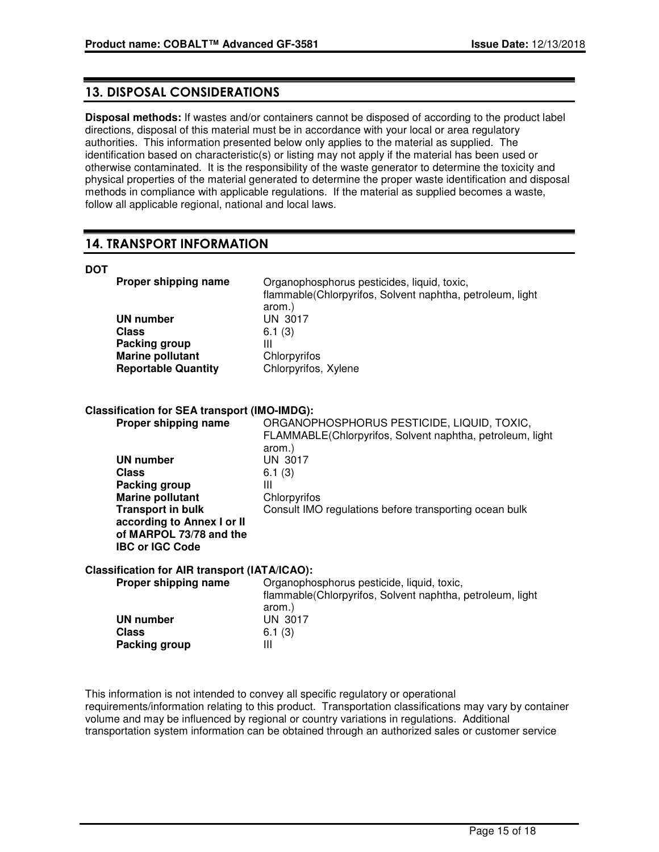### **13. DISPOSAL CONSIDERATIONS**

**Disposal methods:** If wastes and/or containers cannot be disposed of according to the product label directions, disposal of this material must be in accordance with your local or area regulatory authorities. This information presented below only applies to the material as supplied. The identification based on characteristic(s) or listing may not apply if the material has been used or otherwise contaminated. It is the responsibility of the waste generator to determine the toxicity and physical properties of the material generated to determine the proper waste identification and disposal methods in compliance with applicable regulations. If the material as supplied becomes a waste, follow all applicable regional, national and local laws.

## **14. TRANSPORT INFORMATION**

#### **DOT**

| Proper shipping name       | Organophosphorus pesticides, liquid, toxic,                |
|----------------------------|------------------------------------------------------------|
|                            | flammable (Chlorpyrifos, Solvent naphtha, petroleum, light |
|                            | arom.)                                                     |
| UN number                  | UN 3017                                                    |
| Class                      | 6.1(3)                                                     |
| Packing group              | Ш                                                          |
| <b>Marine pollutant</b>    | Chlorpyrifos                                               |
| <b>Reportable Quantity</b> | Chlorpyrifos, Xylene                                       |

### **Classification for SEA transport (IMO-IMDG):**

| Proper shipping name       | ORGANOPHOSPHORUS PESTICIDE, LIQUID, TOXIC,                |
|----------------------------|-----------------------------------------------------------|
|                            | FLAMMABLE(Chlorpyrifos, Solvent naphtha, petroleum, light |
|                            | arom.)                                                    |
| UN number                  | UN 3017                                                   |
| <b>Class</b>               | 6.1(3)                                                    |
| Packing group              | Ш                                                         |
| <b>Marine pollutant</b>    | Chlorpyrifos                                              |
| <b>Transport in bulk</b>   | Consult IMO regulations before transporting ocean bulk    |
| according to Annex I or II |                                                           |
| of MARPOL 73/78 and the    |                                                           |
| <b>IBC or IGC Code</b>     |                                                           |
|                            |                                                           |

#### **Classification for AIR transport (IATA/ICAO):**

| Organophosphorus pesticide, liquid, toxic,                 |
|------------------------------------------------------------|
| flammable (Chlorpyrifos, Solvent naphtha, petroleum, light |
| arom.)                                                     |
| UN 3017                                                    |
| 6.1(3)                                                     |
| Ш                                                          |
|                                                            |

This information is not intended to convey all specific regulatory or operational requirements/information relating to this product. Transportation classifications may vary by container volume and may be influenced by regional or country variations in regulations. Additional transportation system information can be obtained through an authorized sales or customer service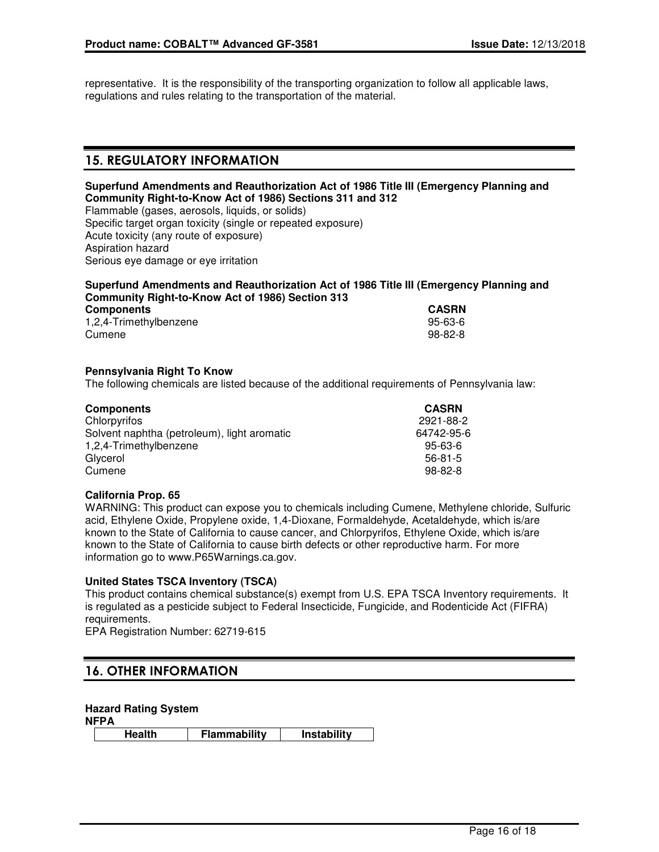representative. It is the responsibility of the transporting organization to follow all applicable laws, regulations and rules relating to the transportation of the material.

## **15. REGULATORY INFORMATION**

### **Superfund Amendments and Reauthorization Act of 1986 Title III (Emergency Planning and Community Right-to-Know Act of 1986) Sections 311 and 312**

Flammable (gases, aerosols, liquids, or solids) Specific target organ toxicity (single or repeated exposure) Acute toxicity (any route of exposure) Aspiration hazard Serious eye damage or eye irritation

### **Superfund Amendments and Reauthorization Act of 1986 Title III (Emergency Planning and Community Right-to-Know Act of 1986) Section 313**

| <b>Components</b>      | <b>CASRN</b> |
|------------------------|--------------|
| 1,2,4-Trimethylbenzene | 95-63-6      |
| Cumene                 | $98-82-8$    |

#### **Pennsylvania Right To Know**

The following chemicals are listed because of the additional requirements of Pennsylvania law:

| <b>Components</b>                           | <b>CASRN</b>  |
|---------------------------------------------|---------------|
| Chlorpyrifos                                | 2921-88-2     |
| Solvent naphtha (petroleum), light aromatic | 64742-95-6    |
| 1,2,4-Trimethylbenzene                      | 95-63-6       |
| Glycerol                                    | $56 - 81 - 5$ |
| Cumene                                      | $98 - 82 - 8$ |

#### **California Prop. 65**

WARNING: This product can expose you to chemicals including Cumene, Methylene chloride, Sulfuric acid, Ethylene Oxide, Propylene oxide, 1,4-Dioxane, Formaldehyde, Acetaldehyde, which is/are known to the State of California to cause cancer, and Chlorpyrifos, Ethylene Oxide, which is/are known to the State of California to cause birth defects or other reproductive harm. For more information go to www.P65Warnings.ca.gov.

### **United States TSCA Inventory (TSCA)**

This product contains chemical substance(s) exempt from U.S. EPA TSCA Inventory requirements. It is regulated as a pesticide subject to Federal Insecticide, Fungicide, and Rodenticide Act (FIFRA) requirements.

EPA Registration Number: 62719-615

## **16. OTHER INFORMATION**

#### **Hazard Rating System**

**NFPA**

**Health Flammability Instability**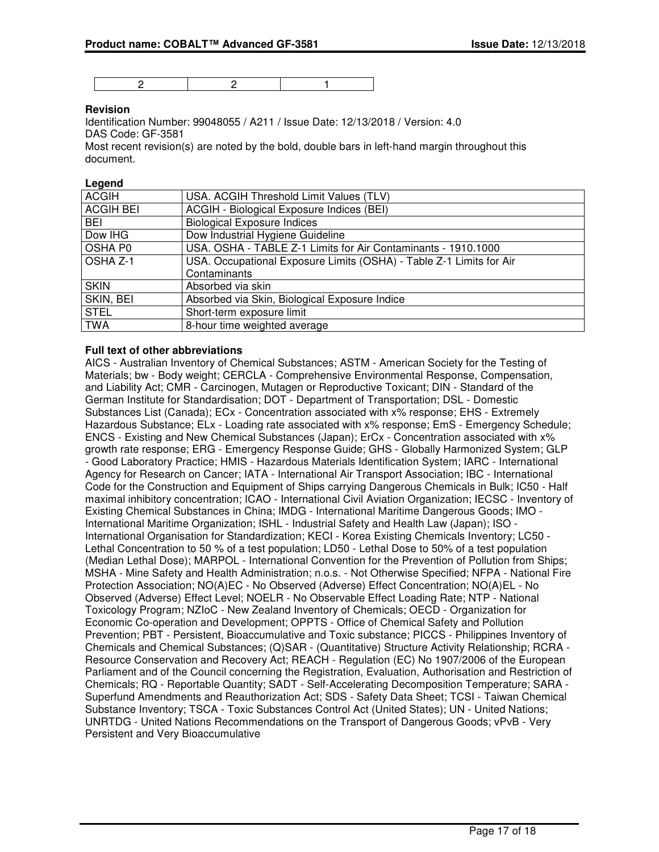2 2 1

#### **Revision**

Identification Number: 99048055 / A211 / Issue Date: 12/13/2018 / Version: 4.0 DAS Code: GF-3581

Most recent revision(s) are noted by the bold, double bars in left-hand margin throughout this document.

#### **Legend**

| <b>ACGIH</b>     | USA. ACGIH Threshold Limit Values (TLV)                             |
|------------------|---------------------------------------------------------------------|
| <b>ACGIH BEI</b> | ACGIH - Biological Exposure Indices (BEI)                           |
| <b>BEI</b>       | <b>Biological Exposure Indices</b>                                  |
| Dow IHG          | Dow Industrial Hygiene Guideline                                    |
| OSHA P0          | USA. OSHA - TABLE Z-1 Limits for Air Contaminants - 1910.1000       |
| OSHA Z-1         | USA. Occupational Exposure Limits (OSHA) - Table Z-1 Limits for Air |
|                  | Contaminants                                                        |
| <b>SKIN</b>      | Absorbed via skin                                                   |
| SKIN, BEI        | Absorbed via Skin, Biological Exposure Indice                       |
| <b>STEL</b>      | Short-term exposure limit                                           |
| <b>TWA</b>       | 8-hour time weighted average                                        |

#### **Full text of other abbreviations**

AICS - Australian Inventory of Chemical Substances; ASTM - American Society for the Testing of Materials; bw - Body weight; CERCLA - Comprehensive Environmental Response, Compensation, and Liability Act; CMR - Carcinogen, Mutagen or Reproductive Toxicant; DIN - Standard of the German Institute for Standardisation; DOT - Department of Transportation; DSL - Domestic Substances List (Canada); ECx - Concentration associated with x% response; EHS - Extremely Hazardous Substance; ELx - Loading rate associated with x% response; EmS - Emergency Schedule; ENCS - Existing and New Chemical Substances (Japan); ErCx - Concentration associated with x% growth rate response; ERG - Emergency Response Guide; GHS - Globally Harmonized System; GLP - Good Laboratory Practice; HMIS - Hazardous Materials Identification System; IARC - International Agency for Research on Cancer; IATA - International Air Transport Association; IBC - International Code for the Construction and Equipment of Ships carrying Dangerous Chemicals in Bulk; IC50 - Half maximal inhibitory concentration; ICAO - International Civil Aviation Organization; IECSC - Inventory of Existing Chemical Substances in China; IMDG - International Maritime Dangerous Goods; IMO - International Maritime Organization; ISHL - Industrial Safety and Health Law (Japan); ISO - International Organisation for Standardization; KECI - Korea Existing Chemicals Inventory; LC50 - Lethal Concentration to 50 % of a test population; LD50 - Lethal Dose to 50% of a test population (Median Lethal Dose); MARPOL - International Convention for the Prevention of Pollution from Ships; MSHA - Mine Safety and Health Administration; n.o.s. - Not Otherwise Specified; NFPA - National Fire Protection Association; NO(A)EC - No Observed (Adverse) Effect Concentration; NO(A)EL - No Observed (Adverse) Effect Level; NOELR - No Observable Effect Loading Rate; NTP - National Toxicology Program; NZIoC - New Zealand Inventory of Chemicals; OECD - Organization for Economic Co-operation and Development; OPPTS - Office of Chemical Safety and Pollution Prevention; PBT - Persistent, Bioaccumulative and Toxic substance; PICCS - Philippines Inventory of Chemicals and Chemical Substances; (Q)SAR - (Quantitative) Structure Activity Relationship; RCRA - Resource Conservation and Recovery Act; REACH - Regulation (EC) No 1907/2006 of the European Parliament and of the Council concerning the Registration, Evaluation, Authorisation and Restriction of Chemicals; RQ - Reportable Quantity; SADT - Self-Accelerating Decomposition Temperature; SARA - Superfund Amendments and Reauthorization Act; SDS - Safety Data Sheet; TCSI - Taiwan Chemical Substance Inventory; TSCA - Toxic Substances Control Act (United States); UN - United Nations; UNRTDG - United Nations Recommendations on the Transport of Dangerous Goods; vPvB - Very Persistent and Very Bioaccumulative